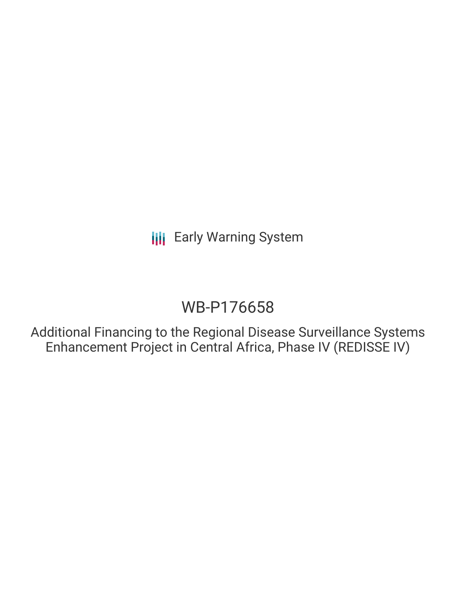# WB-P176658

Additional Financing to the Regional Disease Surveillance Systems Enhancement Project in Central Africa, Phase IV (REDISSE IV)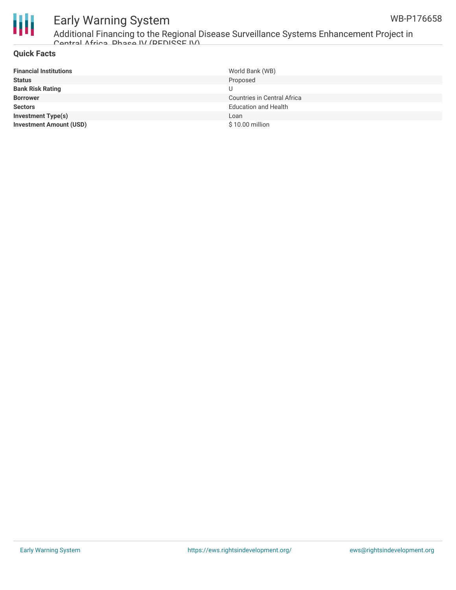



Additional Financing to the Regional Disease Surveillance Systems Enhancement Project in Central Africa, Phase IV (REDISSE IV)

### **Quick Facts**

| <b>Financial Institutions</b>  | World Bank (WB)                    |
|--------------------------------|------------------------------------|
| <b>Status</b>                  | Proposed                           |
| <b>Bank Risk Rating</b>        |                                    |
| <b>Borrower</b>                | <b>Countries in Central Africa</b> |
| <b>Sectors</b>                 | <b>Education and Health</b>        |
| <b>Investment Type(s)</b>      | Loan                               |
| <b>Investment Amount (USD)</b> | \$10.00 million                    |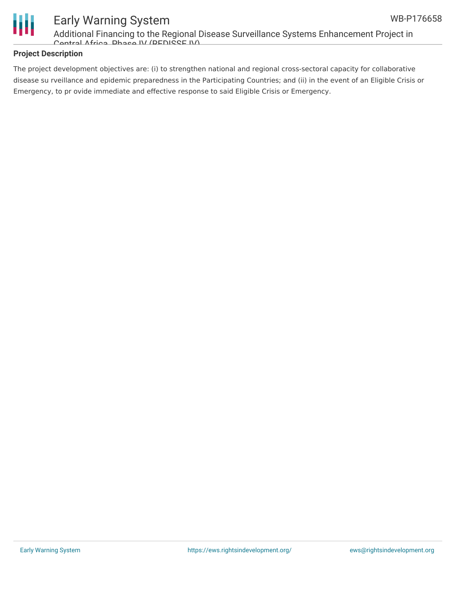

Additional Financing to the Regional Disease Surveillance Systems Enhancement Project in Contral Africa, Phase IV (PEDISSE IV)

## **Project Description**

The project development objectives are: (i) to strengthen national and regional cross-sectoral capacity for collaborative disease su rveillance and epidemic preparedness in the Participating Countries; and (ii) in the event of an Eligible Crisis or Emergency, to pr ovide immediate and effective response to said Eligible Crisis or Emergency.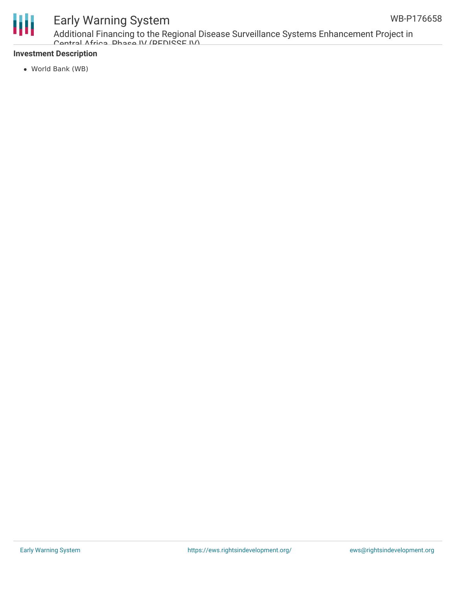

Additional Financing to the Regional Disease Surveillance Systems Enhancement Project in Central Africa, Phase IV (REDISSE IV)

## **Investment Description**

World Bank (WB)